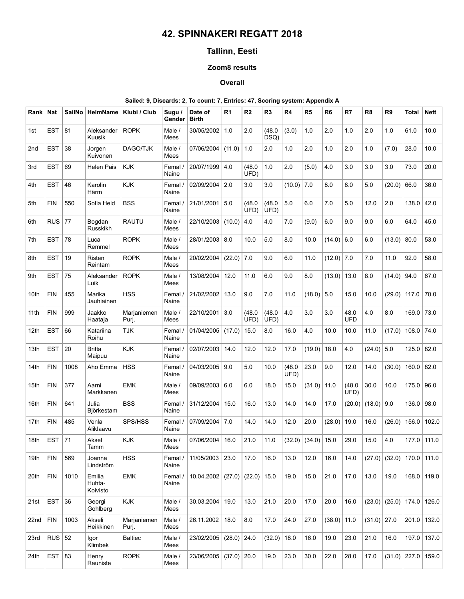# 42. SPINNAKERI REGATT 2018

# Tallinn, Eesti

### Zoom8 results

#### Overall

### Sailed: 9, Discards: 2, To count: 7, Entries: 47, Scoring system: Appendix A

| Rank            | <b>Nat</b> | <b>SailNo</b> | <b>HelmName</b>              | Klubi / Club         | Sugu /<br>Gender | Date of<br><b>Birth</b> | R <sub>1</sub> | R <sub>2</sub> | R <sub>3</sub> | R4             | R <sub>5</sub> | R <sub>6</sub> | R7                 | R <sub>8</sub> | R <sub>9</sub> | <b>Total</b>   | <b>Nett</b> |
|-----------------|------------|---------------|------------------------------|----------------------|------------------|-------------------------|----------------|----------------|----------------|----------------|----------------|----------------|--------------------|----------------|----------------|----------------|-------------|
| 1st             | <b>EST</b> | 81            | Aleksander<br>Kuusik         | <b>ROPK</b>          | Male /<br>Mees   | 30/05/2002              | 1.0            | 2.0            | (48.0)<br>DSQ) | (3.0)          | 1.0            | 2.0            | 1.0                | 2.0            | 1.0            | 61.0           | 10.0        |
| 2 <sub>nd</sub> | <b>EST</b> | 38            | Jorgen<br>Kuivonen           | DAGO/TJK             | Male /<br>Mees   | 07/06/2004              | (11.0)         | 1.0            | 2.0            | 1.0            | 2.0            | 1.0            | 2.0                | 1.0            | (7.0)          | 28.0           | 10.0        |
| 3rd             | <b>EST</b> | 69            | <b>Helen Pais</b>            | <b>KJK</b>           | Femal /<br>Naine | 20/07/1999              | 4.0            | (48.0)<br>UFD) | 1.0            | 2.0            | (5.0)          | 4.0            | 3.0                | 3.0            | 3.0            | 73.0           | 20.0        |
| 4th             | <b>EST</b> | 46            | Karolin<br>Härm              | <b>KJK</b>           | Femal /<br>Naine | 02/09/2004              | 2.0            | 3.0            | 3.0            | (10.0)         | 7.0            | 8.0            | 8.0                | 5.0            | (20.0)         | 66.0           | 36.0        |
| 5th             | <b>FIN</b> | 550           | Sofia Held                   | <b>BSS</b>           | Femal /<br>Naine | 21/01/2001              | 5.0            | (48.0)<br>UFD) | (48.0)<br>UFD) | 5.0            | 6.0            | 7.0            | 5.0                | 12.0           | 2.0            | 138.0          | 42.0        |
| 6th             | <b>RUS</b> | 77            | Bogdan<br>Russkikh           | <b>RAUTU</b>         | Male /<br>Mees   | 22/10/2003              | (10.0)         | 4.0            | 4.0            | 7.0            | (9.0)          | 6.0            | 9.0                | 9.0            | 6.0            | 64.0           | 45.0        |
| 7th             | <b>EST</b> | 78            | Luca<br>Remmel               | <b>ROPK</b>          | Male /<br>Mees   | 28/01/2003              | 8.0            | 10.0           | 5.0            | 8.0            | 10.0           | (14.0)         | 6.0                | 6.0            | (13.0)         | 80.0           | 53.0        |
| 8th             | <b>EST</b> | 19            | Risten<br>Reintam            | <b>ROPK</b>          | Male /<br>Mees   | 20/02/2004              | (22.0)         | 7.0            | 9.0            | 6.0            | 11.0           | $(12.0)$ 7.0   |                    | 7.0            | 11.0           | 92.0           | 58.0        |
| 9th             | <b>EST</b> | 75            | Aleksander<br>Luik           | <b>ROPK</b>          | Male /<br>Mees   | 13/08/2004              | 12.0           | 11.0           | 6.0            | 9.0            | 8.0            | (13.0)         | 13.0               | 8.0            | (14.0)         | 94.0           | 67.0        |
| 10th            | <b>FIN</b> | 455           | Marika<br>Jauhiainen         | <b>HSS</b>           | Femal /<br>Naine | 21/02/2002              | 13.0           | 9.0            | 7.0            | 11.0           | (18.0)         | 5.0            | 15.0               | 10.0           | (29.0)         | 117.0          | 70.0        |
| 11th            | <b>FIN</b> | 999           | Jaakko<br>Haataja            | Marjaniemen<br>Purj. | Male /<br>Mees   | 22/10/2001              | 3.0            | (48.0)<br>UFD) | (48.0)<br>UFD) | 4.0            | 3.0            | 3.0            | 48.0<br><b>UFD</b> | 4.0            | 8.0            | 169.0          | 73.0        |
| 12th            | <b>EST</b> | 66            | Katariina<br>Roihu           | TJK                  | Femal /<br>Naine | 01/04/2005              | (17.0)         | 15.0           | 8.0            | 16.0           | 4.0            | 10.0           | 10.0               | 11.0           | (17.0)         | 108.0          | 74.0        |
| 13th            | <b>EST</b> | 20            | <b>Britta</b><br>Maipuu      | <b>KJK</b>           | Femal /<br>Naine | 02/07/2003              | 14.0           | 12.0           | 12.0           | 17.0           | (19.0)         | 18.0           | 4.0                | (24.0)         | 5.0            | 125.0          | 82.0        |
| 14th            | <b>FIN</b> | 1008          | Aho Emma                     | <b>HSS</b>           | Femal /<br>Naine | 04/03/2005              | 9.0            | 5.0            | 10.0           | (48.0)<br>UFD) | 23.0           | 9.0            | 12.0               | 14.0           | (30.0)         | 160.0          | 82.0        |
| 15th            | <b>FIN</b> | 377           | Aarni<br>Markkanen           | <b>EMK</b>           | Male /<br>Mees   | 09/09/2003              | 6.0            | 6.0            | 18.0           | 15.0           | (31.0)         | 11.0           | (48.0)<br>UFD)     | 30.0           | 10.0           | 175.0          | 96.0        |
| 16th            | <b>FIN</b> | 641           | Julia<br>Björkestam          | <b>BSS</b>           | Femal /<br>Naine | 31/12/2004              | 15.0           | 16.0           | 13.0           | 14.0           | 14.0           | 17.0           | (20.0)             | (18.0)         | 9.0            | 136.0          | 98.0        |
| 17th            | <b>FIN</b> | 485           | Venla<br>Aliklaavu           | SPS/HSS              | Femal /<br>Naine | 07/09/2004              | 7.0            | 14.0           | 14.0           | 12.0           | 20.0           | (28.0)         | 19.0               | 16.0           | (26.0)         | 156.0          | 102.0       |
| 18th            | <b>EST</b> | 71            | Aksel<br>Tamm                | <b>KJK</b>           | Male /<br>Mees   | 07/06/2004              | 16.0           | 21.0           | 11.0           | (32.0)         | (34.0)         | 15.0           | 29.0               | 15.0           | 4.0            | 177.0          | 111.0       |
| 19th            | <b>FIN</b> | 569           | Joanna<br>Lindström          | <b>HSS</b>           | Femal /<br>Naine | 11/05/2003              | 23.0           | 17.0           | 16.0           | 13.0           | 12.0           | 16.0           | 14.0               | (27.0)         | (32.0)         | 170.0          | 111.0       |
| 20th            | <b>FIN</b> | 1010          | Emilia<br>Huhta-<br>Koivisto | <b>EMK</b>           | Femal /<br>Naine | 10.04.2002              | (27.0)         | (22.0) 15.0    |                | 19.0           | 15.0           | 21.0           | 17.0               | 13.0           | 19.0           | 168.0          | 119.0       |
| 21st            | <b>EST</b> | 36            | Georgi<br>Gohlberg           | <b>KJK</b>           | Male /<br>Mees   | 30.03.2004              | 19.0           | 13.0           | 21.0           | 20.0           | 17.0           | 20.0           | 16.0               | (23.0)         | $(25.0)$ 174.0 |                | 126.0       |
| 22nd            | FIN        | 1003          | Akseli<br>Heikkinen          | Marjaniemen<br>Puri. | Male /<br>Mees   | 26.11.2002              | 18.0           | 8.0            | 17.0           | 24.0           | 27.0           | $(38.0)$ 11.0  |                    | $(31.0)$ 27.0  |                | 201.0          | 132.0       |
| 23rd            | RUS $ 52 $ |               | Igor<br>Klimbek              | <b>Baltiec</b>       | Male /<br>Mees   | 23/02/2005              | $(28.0)$ 24.0  |                | (32.0)         | 18.0           | 16.0           | 19.0           | 23.0               | 21.0           | 16.0           | 197.0          | 137.0       |
| 24th            | <b>EST</b> | 83            | Henry<br>Rauniste            | <b>ROPK</b>          | Male /<br>Mees   | 23/06/2005              | $(37.0)$ 20.0  |                | 19.0           | 23.0           | 30.0           | 22.0           | 28.0               | 17.0           |                | $(31.0)$ 227.0 | 159.0       |